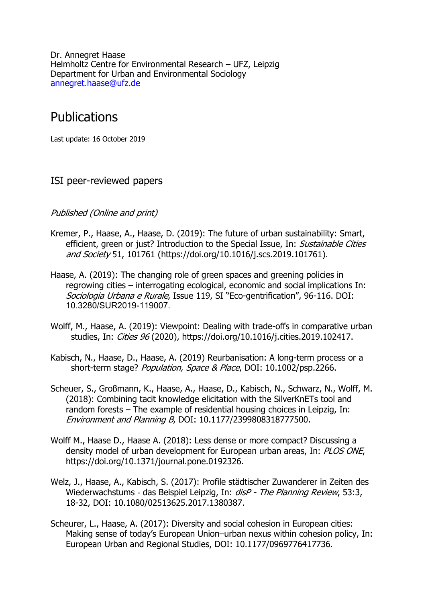Dr. Annegret Haase Helmholtz Centre for Environmental Research – UFZ, Leipzig Department for Urban and Environmental Sociology annegret.haase@ufz.de

# Publications

Last update: 16 October 2019

# ISI peer-reviewed papers

#### Published (Online and print)

- Kremer, P., Haase, A., Haase, D. (2019): The future of urban sustainability: Smart, efficient, green or just? Introduction to the Special Issue, In: Sustainable Cities and Society 51, 101761 (https://doi.org/10.1016/j.scs.2019.101761).
- Haase, A. (2019): The changing role of green spaces and greening policies in regrowing cities – interrogating ecological, economic and social implications In: Sociologia Urbana e Rurale, Issue 119, SI "Eco-gentrification", 96-116. DOI: 10.3280/SUR2019-119007.
- Wolff, M., Haase, A. (2019): Viewpoint: Dealing with trade-offs in comparative urban studies, In: Cities 96 (2020), https://doi.org/10.1016/j.cities.2019.102417.
- Kabisch, N., Haase, D., Haase, A. (2019) Reurbanisation: A long-term process or a short-term stage? Population, Space & Place, DOI: 10.1002/psp.2266.
- Scheuer, S., Großmann, K., Haase, A., Haase, D., Kabisch, N., Schwarz, N., Wolff, M. (2018): Combining tacit knowledge elicitation with the SilverKnETs tool and random forests – The example of residential housing choices in Leipzig, In: Environment and Planning B, DOI: 10.1177/2399808318777500.
- Wolff M., Haase D., Haase A. (2018): Less dense or more compact? Discussing a density model of urban development for European urban areas, In: PLOS ONE, https://doi.org/10.1371/journal.pone.0192326.
- Welz, J., Haase, A., Kabisch, S. (2017): Profile städtischer Zuwanderer in Zeiten des Wiederwachstums - das Beispiel Leipzig, In: *disP - The Planning Review*, 53:3, 18-32, DOI: 10.1080/02513625.2017.1380387.
- Scheurer, L., Haase, A. (2017): Diversity and social cohesion in European cities: Making sense of today's European Union–urban nexus within cohesion policy, In: European Urban and Regional Studies, DOI: 10.1177/0969776417736.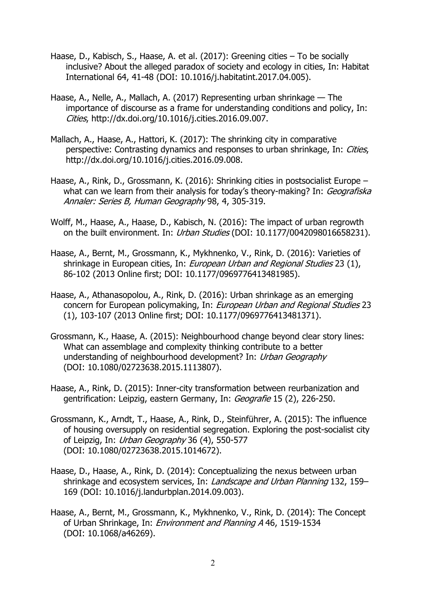- Haase, D., Kabisch, S., Haase, A. et al. (2017): Greening cities To be socially inclusive? About the alleged paradox of society and ecology in cities, In: Habitat International 64, 41-48 (DOI: 10.1016/j.habitatint.2017.04.005).
- Haase, A., Nelle, A., Mallach, A. (2017) Representing urban shrinkage The importance of discourse as a frame for understanding conditions and policy, In: Cities, http://dx.doi.org/10.1016/j.cities.2016.09.007.
- Mallach, A., Haase, A., Hattori, K. (2017): The shrinking city in comparative perspective: Contrasting dynamics and responses to urban shrinkage, In: Cities, http://dx.doi.org/10.1016/j.cities.2016.09.008.
- Haase, A., Rink, D., Grossmann, K. (2016): Shrinking cities in postsocialist Europe what can we learn from their analysis for today's theory-making? In: Geografiska Annaler: Series B, Human Geography 98, 4, 305-319.
- Wolff, M., Haase, A., Haase, D., Kabisch, N. (2016): The impact of urban regrowth on the built environment. In: *Urban Studies* (DOI: 10.1177/0042098016658231).
- Haase, A., Bernt, M., Grossmann, K., Mykhnenko, V., Rink, D. (2016): Varieties of shrinkage in European cities, In: European Urban and Regional Studies 23 (1), 86-102 (2013 Online first; DOI: 10.1177/0969776413481985).
- Haase, A., Athanasopolou, A., Rink, D. (2016): Urban shrinkage as an emerging concern for European policymaking, In: European Urban and Regional Studies 23 (1), 103-107 (2013 Online first; DOI: 10.1177/0969776413481371).
- Grossmann, K., Haase, A. (2015): Neighbourhood change beyond clear story lines: What can assemblage and complexity thinking contribute to a better understanding of neighbourhood development? In: Urban Geography (DOI: 10.1080/02723638.2015.1113807).
- Haase, A., Rink, D. (2015): Inner-city transformation between reurbanization and gentrification: Leipzig, eastern Germany, In: Geografie 15 (2), 226-250.
- Grossmann, K., Arndt, T., Haase, A., Rink, D., Steinführer, A. (2015): The influence of housing oversupply on residential segregation. Exploring the post-socialist city of Leipzig, In: Urban Geography 36 (4), 550-577 (DOI: 10.1080/02723638.2015.1014672).
- Haase, D., Haase, A., Rink, D. (2014): Conceptualizing the nexus between urban shrinkage and ecosystem services, In: Landscape and Urban Planning 132, 159-169 (DOI: 10.1016/j.landurbplan.2014.09.003).
- Haase, A., Bernt, M., Grossmann, K., Mykhnenko, V., Rink, D. (2014): The Concept of Urban Shrinkage, In: *Environment and Planning A* 46, 1519-1534 (DOI: 10.1068/a46269).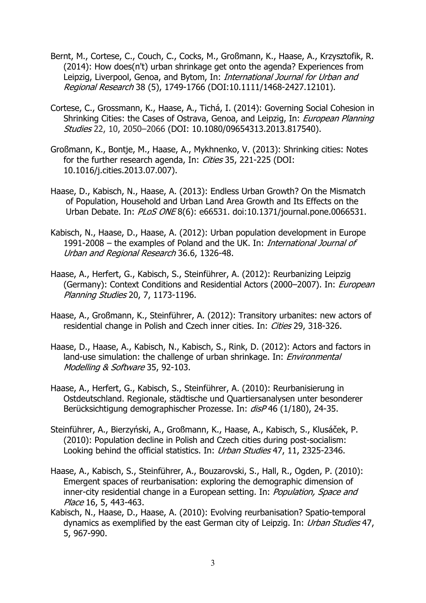- Bernt, M., Cortese, C., Couch, C., Cocks, M., Großmann, K., Haase, A., Krzysztofik, R. (2014): How does(n't) urban shrinkage get onto the agenda? Experiences from Leipzig, Liverpool, Genoa, and Bytom, In: *International Journal for Urban and* Regional Research 38 (5), 1749-1766 (DOI:10.1111/1468-2427.12101).
- Cortese, C., Grossmann, K., Haase, A., Tichá, I. (2014): Governing Social Cohesion in Shrinking Cities: the Cases of Ostrava, Genoa, and Leipzig, In: European Planning Studies 22, 10, 2050–2066 (DOI: 10.1080/09654313.2013.817540).
- Großmann, K., Bontje, M., Haase, A., Mykhnenko, V. (2013): Shrinking cities: Notes for the further research agenda, In: Cities 35, 221-225 (DOI: 10.1016/j.cities.2013.07.007).
- Haase, D., Kabisch, N., Haase, A. (2013): Endless Urban Growth? On the Mismatch of Population, Household and Urban Land Area Growth and Its Effects on the Urban Debate. In: PLoS ONE 8(6): e66531. doi:10.1371/journal.pone.0066531.
- Kabisch, N., Haase, D., Haase, A. (2012): Urban population development in Europe 1991-2008 – the examples of Poland and the UK. In: International Journal of Urban and Regional Research 36.6, 1326-48.
- Haase, A., Herfert, G., Kabisch, S., Steinführer, A. (2012): Reurbanizing Leipzig (Germany): Context Conditions and Residential Actors (2000–2007). In: *European* Planning Studies 20, 7, 1173-1196.
- Haase, A., Großmann, K., Steinführer, A. (2012): Transitory urbanites: new actors of residential change in Polish and Czech inner cities. In: Cities 29, 318-326.
- Haase, D., Haase, A., Kabisch, N., Kabisch, S., Rink, D. (2012): Actors and factors in land-use simulation: the challenge of urban shrinkage. In: *Environmental* Modelling & Software 35, 92-103.
- Haase, A., Herfert, G., Kabisch, S., Steinführer, A. (2010): Reurbanisierung in Ostdeutschland. Regionale, städtische und Quartiersanalysen unter besonderer Berücksichtigung demographischer Prozesse. In: disP 46 (1/180), 24-35.
- Steinführer, A., Bierzyński, A., Großmann, K., Haase, A., Kabisch, S., Klusáček, P. (2010): Population decline in Polish and Czech cities during post-socialism: Looking behind the official statistics. In: Urban Studies 47, 11, 2325-2346.
- Haase, A., Kabisch, S., Steinführer, A., Bouzarovski, S., Hall, R., Ogden, P. (2010): Emergent spaces of reurbanisation: exploring the demographic dimension of inner-city residential change in a European setting. In: Population, Space and Place 16, 5, 443-463.
- Kabisch, N., Haase, D., Haase, A. (2010): Evolving reurbanisation? Spatio-temporal dynamics as exemplified by the east German city of Leipzig. In: Urban Studies 47, 5, 967-990.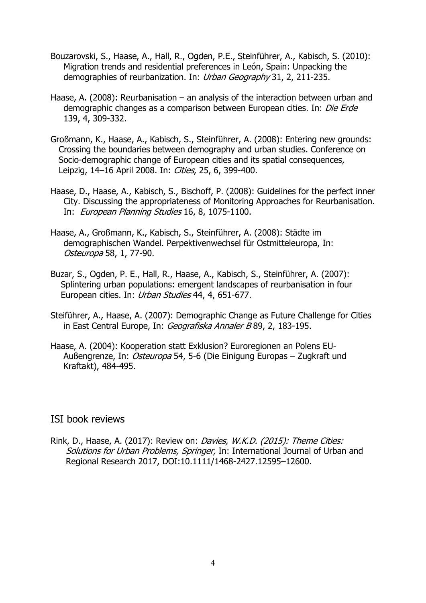- Bouzarovski, S., Haase, A., Hall, R., Ogden, P.E., Steinführer, A., Kabisch, S. (2010): Migration trends and residential preferences in León, Spain: Unpacking the demographies of reurbanization. In: *Urban Geography* 31, 2, 211-235.
- Haase, A. (2008): Reurbanisation an analysis of the interaction between urban and demographic changes as a comparison between European cities. In: Die Erde 139, 4, 309-332.
- Großmann, K., Haase, A., Kabisch, S., Steinführer, A. (2008): Entering new grounds: Crossing the boundaries between demography and urban studies. Conference on Socio-demographic change of European cities and its spatial consequences, Leipzig, 14-16 April 2008. In: Cities, 25, 6, 399-400.
- Haase, D., Haase, A., Kabisch, S., Bischoff, P. (2008): Guidelines for the perfect inner City. Discussing the appropriateness of Monitoring Approaches for Reurbanisation. In: European Planning Studies 16, 8, 1075-1100.
- Haase, A., Großmann, K., Kabisch, S., Steinführer, A. (2008): Städte im demographischen Wandel. Perpektivenwechsel für Ostmitteleuropa, In: Osteuropa 58, 1, 77-90.
- Buzar, S., Ogden, P. E., Hall, R., Haase, A., Kabisch, S., Steinführer, A. (2007): Splintering urban populations: emergent landscapes of reurbanisation in four European cities. In: Urban Studies 44, 4, 651-677.
- Steiführer, A., Haase, A. (2007): Demographic Change as Future Challenge for Cities in East Central Europe, In: Geografiska Annaler B 89, 2, 183-195.
- Haase, A. (2004): Kooperation statt Exklusion? Euroregionen an Polens EU-Außengrenze, In: Osteuropa 54, 5-6 (Die Einigung Europas – Zugkraft und Kraftakt), 484-495.

#### ISI book reviews

Rink, D., Haase, A. (2017): Review on: Davies, W.K.D. (2015): Theme Cities: Solutions for Urban Problems, Springer, In: International Journal of Urban and Regional Research 2017, DOI:10.1111/1468-2427.12595–12600.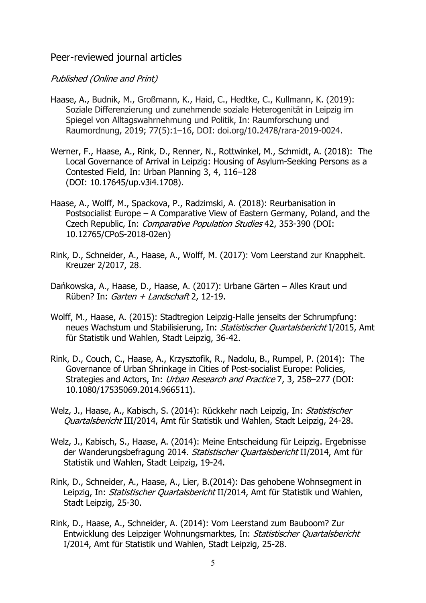### Peer-reviewed journal articles

#### Published (Online and Print)

- Haase, A., Budnik, M., Großmann, K., Haid, C., Hedtke, C., Kullmann, K. (2019): Soziale Differenzierung und zunehmende soziale Heterogenität in Leipzig im Spiegel von Alltagswahrnehmung und Politik, In: Raumforschung und Raumordnung, 2019; 77(5):1–16, DOI: doi.org/10.2478/rara-2019-0024.
- Werner, F., Haase, A., Rink, D., Renner, N., Rottwinkel, M., Schmidt, A. (2018): The Local Governance of Arrival in Leipzig: Housing of Asylum-Seeking Persons as a Contested Field, In: Urban Planning 3, 4, 116–128 (DOI: 10.17645/up.v3i4.1708).
- Haase, A., Wolff, M., Spackova, P., Radzimski, A. (2018): Reurbanisation in Postsocialist Europe – A Comparative View of Eastern Germany, Poland, and the Czech Republic, In: Comparative Population Studies 42, 353-390 (DOI: 10.12765/CPoS-2018-02en)
- Rink, D., Schneider, A., Haase, A., Wolff, M. (2017): Vom Leerstand zur Knappheit. Kreuzer 2/2017, 28.
- Dańkowska, A., Haase, D., Haase, A. (2017): Urbane Gärten Alles Kraut und Rüben? In: Garten + Landschaft 2, 12-19.
- Wolff, M., Haase, A. (2015): Stadtregion Leipzig-Halle jenseits der Schrumpfung: neues Wachstum und Stabilisierung, In: Statistischer Quartalsbericht I/2015, Amt für Statistik und Wahlen, Stadt Leipzig, 36-42.
- Rink, D., Couch, C., Haase, A., Krzysztofik, R., Nadolu, B., Rumpel, P. (2014): The Governance of Urban Shrinkage in Cities of Post-socialist Europe: Policies, Strategies and Actors, In: Urban Research and Practice 7, 3, 258–277 (DOI: 10.1080/17535069.2014.966511).
- Welz, J., Haase, A., Kabisch, S. (2014): Rückkehr nach Leipzig, In: Statistischer Quartalsbericht III/2014, Amt für Statistik und Wahlen, Stadt Leipzig, 24-28.
- Welz, J., Kabisch, S., Haase, A. (2014): Meine Entscheidung für Leipzig. Ergebnisse der Wanderungsbefragung 2014. Statistischer Quartalsbericht II/2014, Amt für Statistik und Wahlen, Stadt Leipzig, 19-24.
- Rink, D., Schneider, A., Haase, A., Lier, B.(2014): Das gehobene Wohnsegment in Leipzig, In: Statistischer Quartalsbericht II/2014, Amt für Statistik und Wahlen, Stadt Leipzig, 25-30.
- Rink, D., Haase, A., Schneider, A. (2014): Vom Leerstand zum Bauboom? Zur Entwicklung des Leipziger Wohnungsmarktes, In: Statistischer Quartalsbericht I/2014, Amt für Statistik und Wahlen, Stadt Leipzig, 25-28.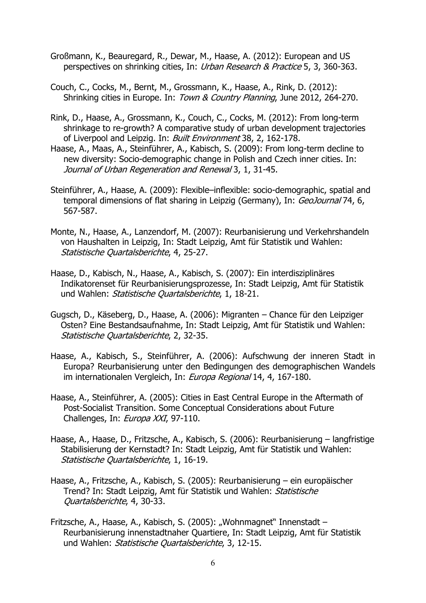- Großmann, K., Beauregard, R., Dewar, M., Haase, A. (2012): European and US perspectives on shrinking cities, In: Urban Research & Practice 5, 3, 360-363.
- Couch, C., Cocks, M., Bernt, M., Grossmann, K., Haase, A., Rink, D. (2012): Shrinking cities in Europe. In: Town & Country Planning, June 2012, 264-270.
- Rink, D., Haase, A., Grossmann, K., Couch, C., Cocks, M. (2012): From long-term shrinkage to re-growth? A comparative study of urban development trajectories of Liverpool and Leipzig. In: Built Environment 38, 2, 162-178.
- Haase, A., Maas, A., Steinführer, A., Kabisch, S. (2009): From long-term decline to new diversity: Socio-demographic change in Polish and Czech inner cities. In: Journal of Urban Regeneration and Renewal 3, 1, 31-45.
- Steinführer, A., Haase, A. (2009): Flexible–inflexible: socio-demographic, spatial and temporal dimensions of flat sharing in Leipzig (Germany), In: GeoJournal 74, 6, 567-587.
- Monte, N., Haase, A., Lanzendorf, M. (2007): Reurbanisierung und Verkehrshandeln von Haushalten in Leipzig, In: Stadt Leipzig, Amt für Statistik und Wahlen: Statistische Quartalsberichte, 4, 25-27.
- Haase, D., Kabisch, N., Haase, A., Kabisch, S. (2007): Ein interdisziplinäres Indikatorenset für Reurbanisierungsprozesse, In: Stadt Leipzig, Amt für Statistik und Wahlen: Statistische Quartalsberichte, 1, 18-21.
- Gugsch, D., Käseberg, D., Haase, A. (2006): Migranten Chance für den Leipziger Osten? Eine Bestandsaufnahme, In: Stadt Leipzig, Amt für Statistik und Wahlen: Statistische Quartalsberichte, 2, 32-35.
- Haase, A., Kabisch, S., Steinführer, A. (2006): Aufschwung der inneren Stadt in Europa? Reurbanisierung unter den Bedingungen des demographischen Wandels im internationalen Vergleich, In: Europa Regional 14, 4, 167-180.
- Haase, A., Steinführer, A. (2005): Cities in East Central Europe in the Aftermath of Post-Socialist Transition. Some Conceptual Considerations about Future Challenges, In: Europa XXI, 97-110.
- Haase, A., Haase, D., Fritzsche, A., Kabisch, S. (2006): Reurbanisierung langfristige Stabilisierung der Kernstadt? In: Stadt Leipzig, Amt für Statistik und Wahlen: Statistische Quartalsberichte, 1, 16-19.
- Haase, A., Fritzsche, A., Kabisch, S. (2005): Reurbanisierung ein europäischer Trend? In: Stadt Leipzig, Amt für Statistik und Wahlen: Statistische Quartalsberichte, 4, 30-33.
- Fritzsche, A., Haase, A., Kabisch, S. (2005): "Wohnmagnet" Innenstadt Reurbanisierung innenstadtnaher Quartiere, In: Stadt Leipzig, Amt für Statistik und Wahlen: Statistische Quartalsberichte, 3, 12-15.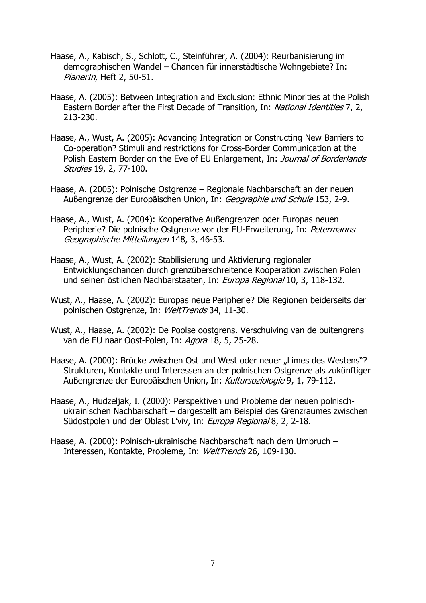- Haase, A., Kabisch, S., Schlott, C., Steinführer, A. (2004): Reurbanisierung im demographischen Wandel – Chancen für innerstädtische Wohngebiete? In: PlanerIn, Heft 2, 50-51.
- Haase, A. (2005): Between Integration and Exclusion: Ethnic Minorities at the Polish Eastern Border after the First Decade of Transition, In: National Identities 7, 2, 213-230.
- Haase, A., Wust, A. (2005): Advancing Integration or Constructing New Barriers to Co-operation? Stimuli and restrictions for Cross-Border Communication at the Polish Eastern Border on the Eve of EU Enlargement, In: Journal of Borderlands Studies 19, 2, 77-100.
- Haase, A. (2005): Polnische Ostgrenze Regionale Nachbarschaft an der neuen Außengrenze der Europäischen Union, In: Geographie und Schule 153, 2-9.
- Haase, A., Wust, A. (2004): Kooperative Außengrenzen oder Europas neuen Peripherie? Die polnische Ostgrenze vor der EU-Erweiterung, In: Petermanns Geographische Mitteilungen 148, 3, 46-53.
- Haase, A., Wust, A. (2002): Stabilisierung und Aktivierung regionaler Entwicklungschancen durch grenzüberschreitende Kooperation zwischen Polen und seinen östlichen Nachbarstaaten, In: Europa Regional 10, 3, 118-132.
- Wust, A., Haase, A. (2002): Europas neue Peripherie? Die Regionen beiderseits der polnischen Ostgrenze, In: WeltTrends 34, 11-30.
- Wust, A., Haase, A. (2002): De Poolse oostgrens. Verschuiving van de buitengrens van de EU naar Oost-Polen, In: Agora 18, 5, 25-28.
- Haase, A. (2000): Brücke zwischen Ost und West oder neuer "Limes des Westens"? Strukturen, Kontakte und Interessen an der polnischen Ostgrenze als zukünftiger Außengrenze der Europäischen Union, In: Kultursoziologie 9, 1, 79-112.
- Haase, A., Hudzeljak, I. (2000): Perspektiven und Probleme der neuen polnischukrainischen Nachbarschaft – dargestellt am Beispiel des Grenzraumes zwischen Südostpolen und der Oblast L'viv, In: Europa Regional 8, 2, 2-18.
- Haase, A. (2000): Polnisch-ukrainische Nachbarschaft nach dem Umbruch Interessen, Kontakte, Probleme, In: WeltTrends 26, 109-130.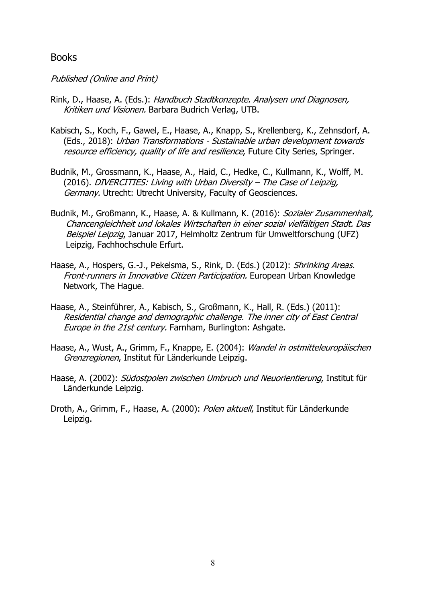### Books

#### Published (Online and Print)

- Rink, D., Haase, A. (Eds.): Handbuch Stadtkonzepte. Analysen und Diagnosen, Kritiken und Visionen. Barbara Budrich Verlag, UTB.
- Kabisch, S., Koch, F., Gawel, E., Haase, A., Knapp, S., Krellenberg, K., Zehnsdorf, A. (Eds., 2018): Urban Transformations - Sustainable urban development towards resource efficiency, quality of life and resilience, Future City Series, Springer.
- Budnik, M., Grossmann, K., Haase, A., Haid, C., Hedke, C., Kullmann, K., Wolff, M. (2016). DIVERCITIES: Living with Urban Diversity – The Case of Leipzig, Germany. Utrecht: Utrecht University, Faculty of Geosciences.
- Budnik, M., Großmann, K., Haase, A. & Kullmann, K. (2016): Sozialer Zusammenhalt, Chancengleichheit und lokales Wirtschaften in einer sozial vielfältigen Stadt. Das Beispiel Leipzig, Januar 2017, Helmholtz Zentrum für Umweltforschung (UFZ) Leipzig, Fachhochschule Erfurt.
- Haase, A., Hospers, G.-J., Pekelsma, S., Rink, D. (Eds.) (2012): Shrinking Areas. Front-runners in Innovative Citizen Participation. European Urban Knowledge Network, The Hague.
- Haase, A., Steinführer, A., Kabisch, S., Großmann, K., Hall, R. (Eds.) (2011): Residential change and demographic challenge. The inner city of East Central Europe in the 21st century. Farnham, Burlington: Ashgate.
- Haase, A., Wust, A., Grimm, F., Knappe, E. (2004): Wandel in ostmitteleuropäischen Grenzregionen, Institut für Länderkunde Leipzig.
- Haase, A. (2002): Südostpolen zwischen Umbruch und Neuorientierung, Institut für Länderkunde Leipzig.
- Droth, A., Grimm, F., Haase, A. (2000): Polen aktuell, Institut für Länderkunde Leipzig.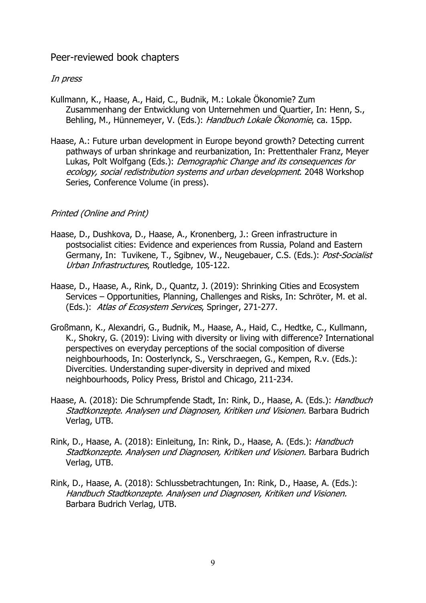# Peer-reviewed book chapters

#### In press

- Kullmann, K., Haase, A., Haid, C., Budnik, M.: Lokale Ökonomie? Zum Zusammenhang der Entwicklung von Unternehmen und Quartier, In: Henn, S., Behling, M., Hünnemeyer, V. (Eds.): Handbuch Lokale Ökonomie, ca. 15pp.
- Haase, A.: Future urban development in Europe beyond growth? Detecting current pathways of urban shrinkage and reurbanization, In: Prettenthaler Franz, Meyer Lukas, Polt Wolfgang (Eds.): Demographic Change and its consequences for ecology, social redistribution systems and urban development. 2048 Workshop Series, Conference Volume (in press).

## Printed (Online and Print)

- Haase, D., Dushkova, D., Haase, A., Kronenberg, J.: Green infrastructure in postsocialist cities: Evidence and experiences from Russia, Poland and Eastern Germany, In: Tuvikene, T., Sgibney, W., Neugebauer, C.S. (Eds.): *Post-Socialist* Urban Infrastructures, Routledge, 105-122.
- Haase, D., Haase, A., Rink, D., Quantz, J. (2019): Shrinking Cities and Ecosystem Services – Opportunities, Planning, Challenges and Risks, In: Schröter, M. et al. (Eds.): Atlas of Ecosystem Services, Springer, 271-277.
- Großmann, K., Alexandri, G., Budnik, M., Haase, A., Haid, C., Hedtke, C., Kullmann, K., Shokry, G. (2019): Living with diversity or living with difference? International perspectives on everyday perceptions of the social composition of diverse neighbourhoods, In: Oosterlynck, S., Verschraegen, G., Kempen, R.v. (Eds.): Divercities. Understanding super-diversity in deprived and mixed neighbourhoods, Policy Press, Bristol and Chicago, 211-234.
- Haase, A. (2018): Die Schrumpfende Stadt, In: Rink, D., Haase, A. (Eds.): Handbuch Stadtkonzepte. Analysen und Diagnosen, Kritiken und Visionen. Barbara Budrich Verlag, UTB.
- Rink, D., Haase, A. (2018): Einleitung, In: Rink, D., Haase, A. (Eds.): Handbuch Stadtkonzepte. Analysen und Diagnosen, Kritiken und Visionen. Barbara Budrich Verlag, UTB.
- Rink, D., Haase, A. (2018): Schlussbetrachtungen, In: Rink, D., Haase, A. (Eds.): Handbuch Stadtkonzepte. Analysen und Diagnosen, Kritiken und Visionen. Barbara Budrich Verlag, UTB.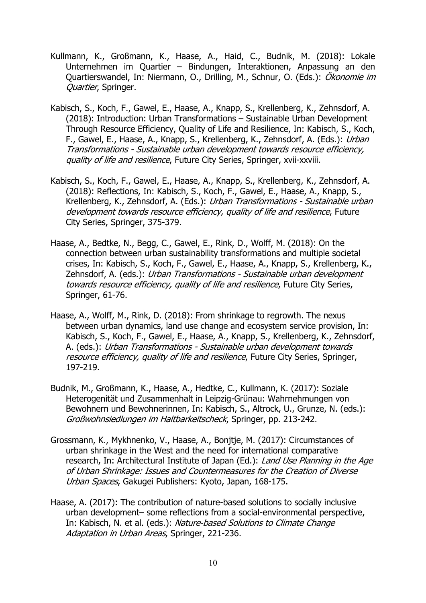- Kullmann, K., Großmann, K., Haase, A., Haid, C., Budnik, M. (2018): Lokale Unternehmen im Quartier – Bindungen, Interaktionen, Anpassung an den Quartierswandel, In: Niermann, O., Drilling, M., Schnur, O. (Eds.): Ökonomie im Ouartier, Springer.
- Kabisch, S., Koch, F., Gawel, E., Haase, A., Knapp, S., Krellenberg, K., Zehnsdorf, A. (2018): Introduction: Urban Transformations – Sustainable Urban Development Through Resource Efficiency, Quality of Life and Resilience, In: Kabisch, S., Koch, F., Gawel, E., Haase, A., Knapp, S., Krellenberg, K., Zehnsdorf, A. (Eds.): Urban Transformations - Sustainable urban development towards resource efficiency, quality of life and resilience, Future City Series, Springer, xvii-xxviii.
- Kabisch, S., Koch, F., Gawel, E., Haase, A., Knapp, S., Krellenberg, K., Zehnsdorf, A. (2018): Reflections, In: Kabisch, S., Koch, F., Gawel, E., Haase, A., Knapp, S., Krellenberg, K., Zehnsdorf, A. (Eds.): Urban Transformations - Sustainable urban development towards resource efficiency, quality of life and resilience, Future City Series, Springer, 375-379.
- Haase, A., Bedtke, N., Begg, C., Gawel, E., Rink, D., Wolff, M. (2018): On the connection between urban sustainability transformations and multiple societal crises, In: Kabisch, S., Koch, F., Gawel, E., Haase, A., Knapp, S., Krellenberg, K., Zehnsdorf, A. (eds.): Urban Transformations - Sustainable urban development towards resource efficiency, quality of life and resilience, Future City Series, Springer, 61-76.
- Haase, A., Wolff, M., Rink, D. (2018): From shrinkage to regrowth. The nexus between urban dynamics, land use change and ecosystem service provision, In: Kabisch, S., Koch, F., Gawel, E., Haase, A., Knapp, S., Krellenberg, K., Zehnsdorf, A. (eds.): Urban Transformations - Sustainable urban development towards resource efficiency, quality of life and resilience, Future City Series, Springer, 197-219.
- Budnik, M., Großmann, K., Haase, A., Hedtke, C., Kullmann, K. (2017): Soziale Heterogenität und Zusammenhalt in Leipzig-Grünau: Wahrnehmungen von Bewohnern und Bewohnerinnen, In: Kabisch, S., Altrock, U., Grunze, N. (eds.): Großwohnsiedlungen im Haltbarkeitscheck, Springer, pp. 213-242.
- Grossmann, K., Mykhnenko, V., Haase, A., Bonjtje, M. (2017): Circumstances of urban shrinkage in the West and the need for international comparative research, In: Architectural Institute of Japan (Ed.): Land Use Planning in the Age of Urban Shrinkage: Issues and Countermeasures for the Creation of Diverse Urban Spaces, Gakugei Publishers: Kyoto, Japan, 168-175.
- Haase, A. (2017): The contribution of nature-based solutions to socially inclusive urban development– some reflections from a social-environmental perspective, In: Kabisch, N. et al. (eds.): Nature-based Solutions to Climate Change Adaptation in Urban Areas, Springer, 221-236.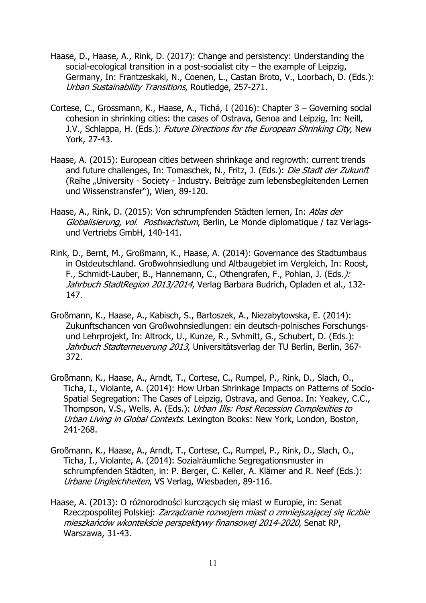- Haase, D., Haase, A., Rink, D. (2017): Change and persistency: Understanding the social-ecological transition in a post-socialist city – the example of Leipzig, Germany, In: Frantzeskaki, N., Coenen, L., Castan Broto, V., Loorbach, D. (Eds.): Urban Sustainability Transitions, Routledge, 257-271.
- Cortese, C., Grossmann, K., Haase, A., Tichá, I (2016): Chapter 3 Governing social cohesion in shrinking cities: the cases of Ostrava, Genoa and Leipzig, In: Neill, J.V., Schlappa, H. (Eds.): Future Directions for the European Shrinking City, New York, 27-43.
- Haase, A. (2015): European cities between shrinkage and regrowth: current trends and future challenges, In: Tomaschek, N., Fritz, J. (Eds.): Die Stadt der Zukunft (Reihe "University - Society - Industry. Beiträge zum lebensbegleitenden Lernen und Wissenstransfer"), Wien, 89-120.
- Haase, A., Rink, D. (2015): Von schrumpfenden Städten lernen, In: Atlas der Globalisierung, vol. Postwachstum, Berlin, Le Monde diplomatique / taz Verlagsund Vertriebs GmbH, 140-141.
- Rink, D., Bernt, M., Großmann, K., Haase, A. (2014): Governance des Stadtumbaus in Ostdeutschland. Großwohnsiedlung und Altbaugebiet im Vergleich, In: Roost, F., Schmidt-Lauber, B., Hannemann, C., Othengrafen, F., Pohlan, J. (Eds.): Jahrbuch StadtRegion 2013/2014, Verlag Barbara Budrich, Opladen et al., 132-147.
- Großmann, K., Haase, A., Kabisch, S., Bartoszek, A., Niezabytowska, E. (2014): Zukunftschancen von Großwohnsiedlungen: ein deutsch-polnisches Forschungsund Lehrprojekt, In: Altrock, U., Kunze, R., Svhmitt, G., Schubert, D. (Eds.): Jahrbuch Stadterneuerung 2013, Universitätsverlag der TU Berlin, Berlin, 367-372.
- Großmann, K., Haase, A., Arndt, T., Cortese, C., Rumpel, P., Rink, D., Slach, O., Ticha, I., Violante, A. (2014): How Urban Shrinkage Impacts on Patterns of Socio-Spatial Segregation: The Cases of Leipzig, Ostrava, and Genoa. In: Yeakey, C.C., Thompson, V.S., Wells, A. (Eds.): Urban Ills: Post Recession Complexities to Urban Living in Global Contexts. Lexington Books: New York, London, Boston, 241-268.
- Großmann, K., Haase, A., Arndt, T., Cortese, C., Rumpel, P., Rink, D., Slach, O., Ticha, I., Violante, A. (2014): Sozialräumliche Segregationsmuster in schrumpfenden Städten, in: P. Berger, C. Keller, A. Klärner and R. Neef (Eds.): Urbane Ungleichheiten, VS Verlag, Wiesbaden, 89-116.
- Haase, A. (2013): O różnorodności kurczących się miast w Europie, in: Senat Rzeczpospolitej Polskiej: Zarządzanie rozwojem miast o zmniejszającej się liczbie mieszkańców wkontekście perspektywy finansowej 2014-2020, Senat RP, Warszawa, 31-43.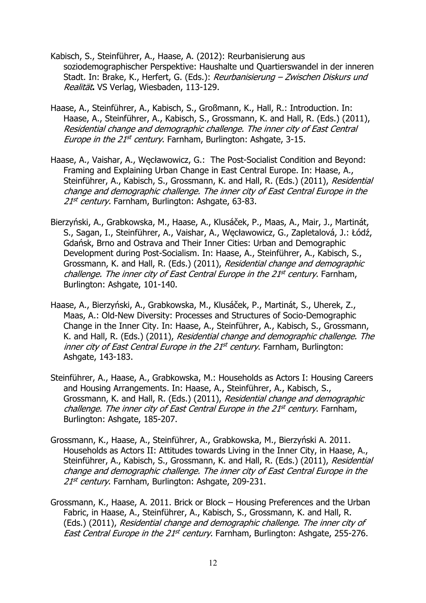- Kabisch, S., Steinführer, A., Haase, A. (2012): Reurbanisierung aus soziodemographischer Perspektive: Haushalte und Quartierswandel in der inneren Stadt. In: Brake, K., Herfert, G. (Eds.): Reurbanisierung - Zwischen Diskurs und Realität**.** VS Verlag, Wiesbaden, 113-129.
- Haase, A., Steinführer, A., Kabisch, S., Großmann, K., Hall, R.: Introduction. In: Haase, A., Steinführer, A., Kabisch, S., Grossmann, K. and Hall, R. (Eds.) (2011), Residential change and demographic challenge. The inner city of East Central Europe in the 21st century. Farnham, Burlington: Ashgate, 3-15.
- Haase, A., Vaishar, A., Węcławowicz, G.: The Post-Socialist Condition and Beyond: Framing and Explaining Urban Change in East Central Europe. In: Haase, A., Steinführer, A., Kabisch, S., Grossmann, K. and Hall, R. (Eds.) (2011), Residential change and demographic challenge. The inner city of East Central Europe in the 21<sup>st</sup> century. Farnham, Burlington: Ashgate, 63-83.
- Bierzyński, A., Grabkowska, M., Haase, A., Klusáček, P., Maas, A., Mair, J., Martinát, S., Sagan, I., Steinführer, A., Vaishar, A., Węcławowicz, G., Zapletalová, J.: Łódź, Gdańsk, Brno and Ostrava and Their Inner Cities: Urban and Demographic Development during Post-Socialism. In: Haase, A., Steinführer, A., Kabisch, S., Grossmann, K. and Hall, R. (Eds.) (2011), Residential change and demographic challenge. The inner city of East Central Europe in the 21<sup>st</sup> century. Farnham, Burlington: Ashgate, 101-140.
- Haase, A., Bierzyński, A., Grabkowska, M., Klusáček, P., Martinát, S., Uherek, Z., Maas, A.: Old-New Diversity: Processes and Structures of Socio-Demographic Change in the Inner City. In: Haase, A., Steinführer, A., Kabisch, S., Grossmann, K. and Hall, R. (Eds.) (2011), Residential change and demographic challenge. The inner city of East Central Europe in the  $21<sup>st</sup>$  century. Farnham, Burlington: Ashgate, 143-183.
- Steinführer, A., Haase, A., Grabkowska, M.: Households as Actors I: Housing Careers and Housing Arrangements. In: Haase, A., Steinführer, A., Kabisch, S., Grossmann, K. and Hall, R. (Eds.) (2011), Residential change and demographic challenge. The inner city of East Central Europe in the 21<sup>st</sup> century. Farnham, Burlington: Ashgate, 185-207.
- Grossmann, K., Haase, A., Steinführer, A., Grabkowska, M., Bierzyński A. 2011. Households as Actors II: Attitudes towards Living in the Inner City, in Haase, A., Steinführer, A., Kabisch, S., Grossmann, K. and Hall, R. (Eds.) (2011), Residential change and demographic challenge. The inner city of East Central Europe in the 21<sup>st</sup> century. Farnham, Burlington: Ashgate, 209-231.
- Grossmann, K., Haase, A. 2011. Brick or Block Housing Preferences and the Urban Fabric, in Haase, A., Steinführer, A., Kabisch, S., Grossmann, K. and Hall, R. (Eds.) (2011), Residential change and demographic challenge. The inner city of East Central Europe in the 21<sup>st</sup> century. Farnham, Burlington: Ashgate, 255-276.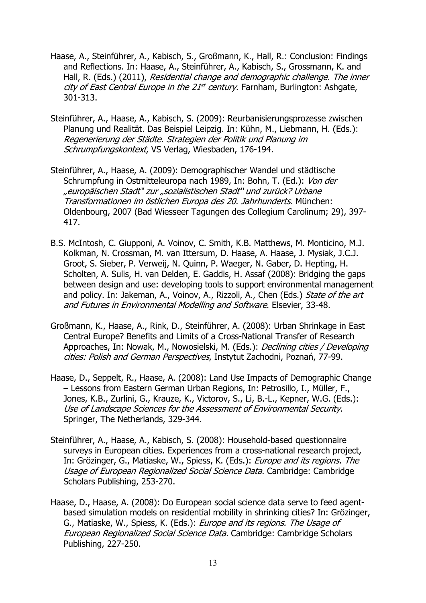- Haase, A., Steinführer, A., Kabisch, S., Großmann, K., Hall, R.: Conclusion: Findings and Reflections. In: Haase, A., Steinführer, A., Kabisch, S., Grossmann, K. and Hall, R. (Eds.) (2011), Residential change and demographic challenge. The inner city of East Central Europe in the  $21^{st}$  century. Farnham, Burlington: Ashgate, 301-313.
- Steinführer, A., Haase, A., Kabisch, S. (2009): Reurbanisierungsprozesse zwischen Planung und Realität. Das Beispiel Leipzig. In: Kühn, M., Liebmann, H. (Eds.): Regenerierung der Städte. Strategien der Politik und Planung im Schrumpfungskontext, VS Verlag, Wiesbaden, 176-194.
- Steinführer, A., Haase, A. (2009): Demographischer Wandel und städtische Schrumpfung in Ostmitteleuropa nach 1989, In: Bohn, T. (Ed.): Von der "europäischen Stadt" zur "sozialistischen Stadt" und zurück? Urbane Transformationen im östlichen Europa des 20. Jahrhunderts. München: Oldenbourg, 2007 (Bad Wiesseer Tagungen des Collegium Carolinum; 29), 397- 417.
- B.S. McIntosh, C. Giupponi, A. Voinov, C. Smith, K.B. Matthews, M. Monticino, M.J. Kolkman, N. Crossman, M. van Ittersum, D. Haase, A. Haase, J. Mysiak, J.C.J. Groot, S. Sieber, P. Verweij, N. Quinn, P. Waeger, N. Gaber, D. Hepting, H. Scholten, A. Sulis, H. van Delden, E. Gaddis, H. Assaf (2008): Bridging the gaps between design and use: developing tools to support environmental management and policy. In: Jakeman, A., Voinov, A., Rizzoli, A., Chen (Eds.) State of the art and Futures in Environmental Modelling and Software. Elsevier, 33-48.
- Großmann, K., Haase, A., Rink, D., Steinführer, A. (2008): Urban Shrinkage in East Central Europe? Benefits and Limits of a Cross-National Transfer of Research Approaches, In: Nowak, M., Nowosielski, M. (Eds.): *Declining cities / Developing* cities: Polish and German Perspectives, Instytut Zachodni, Poznań, 77-99.
- Haase, D., Seppelt, R., Haase, A. (2008): Land Use Impacts of Demographic Change – Lessons from Eastern German Urban Regions, In: Petrosillo, I., Müller, F., Jones, K.B., Zurlini, G., Krauze, K., Victorov, S., Li, B.-L., Kepner, W.G. (Eds.): Use of Landscape Sciences for the Assessment of Environmental Security. Springer, The Netherlands, 329-344.
- Steinführer, A., Haase, A., Kabisch, S. (2008): Household-based questionnaire surveys in European cities. Experiences from a cross-national research project, In: Grözinger, G., Matiaske, W., Spiess, K. (Eds.): *Europe and its regions. The* Usage of European Regionalized Social Science Data. Cambridge: Cambridge Scholars Publishing, 253-270.
- Haase, D., Haase, A. (2008): Do European social science data serve to feed agentbased simulation models on residential mobility in shrinking cities? In: Grözinger, G., Matiaske, W., Spiess, K. (Eds.): Europe and its regions. The Usage of European Regionalized Social Science Data. Cambridge: Cambridge Scholars Publishing, 227-250.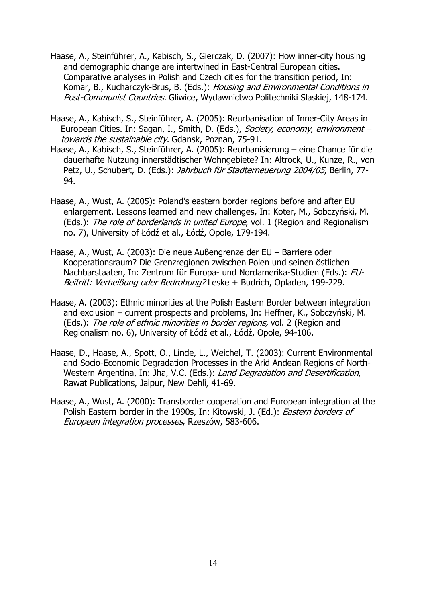- Haase, A., Steinführer, A., Kabisch, S., Gierczak, D. (2007): How inner-city housing and demographic change are intertwined in East-Central European cities. Comparative analyses in Polish and Czech cities for the transition period, In: Komar, B., Kucharczyk-Brus, B. (Eds.): Housing and Environmental Conditions in Post-Communist Countries. Gliwice, Wydawnictwo Politechniki Slaskiej, 148-174.
- Haase, A., Kabisch, S., Steinführer, A. (2005): Reurbanisation of Inner-City Areas in European Cities. In: Sagan, I., Smith, D. (Eds.), Society, economy, environment towards the sustainable city. Gdansk, Poznan, 75-91.
- Haase, A., Kabisch, S., Steinführer, A. (2005): Reurbanisierung eine Chance für die dauerhafte Nutzung innerstädtischer Wohngebiete? In: Altrock, U., Kunze, R., von Petz, U., Schubert, D. (Eds.): Jahrbuch für Stadterneuerung 2004/05, Berlin, 77-94.
- Haase, A., Wust, A. (2005): Poland's eastern border regions before and after EU enlargement. Lessons learned and new challenges, In: Koter, M., Sobczyński, M. (Eds.): The role of borderlands in united Europe, vol. 1 (Region and Regionalism no. 7), University of Łódź et al., Łódź, Opole, 179-194.
- Haase, A., Wust, A. (2003): Die neue Außengrenze der EU Barriere oder Kooperationsraum? Die Grenzregionen zwischen Polen und seinen östlichen Nachbarstaaten, In: Zentrum für Europa- und Nordamerika-Studien (Eds.): EU-Beitritt: Verheißung oder Bedrohung? Leske + Budrich, Opladen, 199-229.
- Haase, A. (2003): Ethnic minorities at the Polish Eastern Border between integration and exclusion – current prospects and problems, In: Heffner, K., Sobczyński, M. (Eds.): The role of ethnic minorities in border regions, vol. 2 (Region and Regionalism no. 6), University of Łódź et al., Łódź, Opole, 94-106.
- Haase, D., Haase, A., Spott, O., Linde, L., Weichel, T. (2003): Current Environmental and Socio-Economic Degradation Processes in the Arid Andean Regions of North-Western Argentina, In: Jha, V.C. (Eds.): Land Degradation and Desertification, Rawat Publications, Jaipur, New Dehli, 41-69.
- Haase, A., Wust, A. (2000): Transborder cooperation and European integration at the Polish Eastern border in the 1990s, In: Kitowski, J. (Ed.): *Eastern borders of* European integration processes, Rzeszów, 583-606.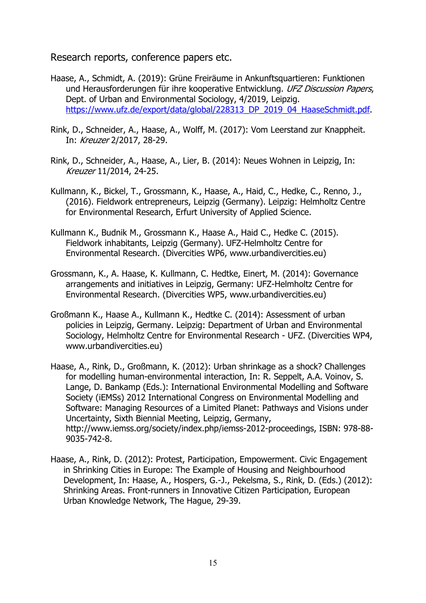Research reports, conference papers etc.

- Haase, A., Schmidt, A. (2019): Grüne Freiräume in Ankunftsquartieren: Funktionen und Herausforderungen für ihre kooperative Entwicklung. UFZ Discussion Papers, Dept. of Urban and Environmental Sociology, 4/2019, Leipzig. https://www.ufz.de/export/data/global/228313\_DP\_2019\_04\_HaaseSchmidt.pdf.
- Rink, D., Schneider, A., Haase, A., Wolff, M. (2017): Vom Leerstand zur Knappheit. In: Kreuzer 2/2017, 28-29.
- Rink, D., Schneider, A., Haase, A., Lier, B. (2014): Neues Wohnen in Leipzig, In: Kreuzer 11/2014, 24-25.
- Kullmann, K., Bickel, T., Grossmann, K., Haase, A., Haid, C., Hedke, C., Renno, J., (2016). Fieldwork entrepreneurs, Leipzig (Germany). Leipzig: Helmholtz Centre for Environmental Research, Erfurt University of Applied Science.
- Kullmann K., Budnik M., Grossmann K., Haase A., Haid C., Hedke C. (2015). Fieldwork inhabitants, Leipzig (Germany). UFZ-Helmholtz Centre for Environmental Research. (Divercities WP6, www.urbandivercities.eu)
- Grossmann, K., A. Haase, K. Kullmann, C. Hedtke, Einert, M. (2014): Governance arrangements and initiatives in Leipzig, Germany: UFZ-Helmholtz Centre for Environmental Research. (Divercities WP5, www.urbandivercities.eu)
- Großmann K., Haase A., Kullmann K., Hedtke C. (2014): Assessment of urban policies in Leipzig, Germany. Leipzig: Department of Urban and Environmental Sociology, Helmholtz Centre for Environmental Research - UFZ. (Divercities WP4, www.urbandivercities.eu)
- Haase, A., Rink, D., Großmann, K. (2012): Urban shrinkage as a shock? Challenges for modelling human-environmental interaction, In: R. Seppelt, A.A. Voinov, S. Lange, D. Bankamp (Eds.): International Environmental Modelling and Software Society (iEMSs) 2012 International Congress on Environmental Modelling and Software: Managing Resources of a Limited Planet: Pathways and Visions under Uncertainty, Sixth Biennial Meeting, Leipzig, Germany, http://www.iemss.org/society/index.php/iemss-2012-proceedings, ISBN: 978-88- 9035-742-8.
- Haase, A., Rink, D. (2012): Protest, Participation, Empowerment. Civic Engagement in Shrinking Cities in Europe: The Example of Housing and Neighbourhood Development, In: Haase, A., Hospers, G.-J., Pekelsma, S., Rink, D. (Eds.) (2012): Shrinking Areas. Front-runners in Innovative Citizen Participation, European Urban Knowledge Network, The Hague, 29-39.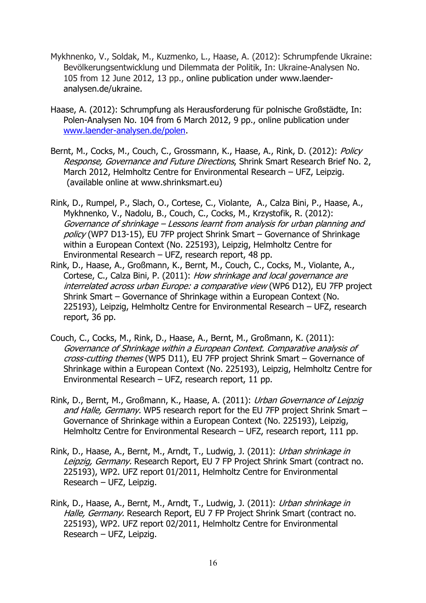- Mykhnenko, V., Soldak, M., Kuzmenko, L., Haase, A. (2012): Schrumpfende Ukraine: Bevölkerungsentwicklung und Dilemmata der Politik, In: Ukraine-Analysen No. 105 from 12 June 2012, 13 pp., online publication under www.laenderanalysen.de/ukraine.
- Haase, A. (2012): Schrumpfung als Herausforderung für polnische Großstädte, In: Polen-Analysen No. 104 from 6 March 2012, 9 pp., online publication under www.laender-analysen.de/polen.
- Bernt, M., Cocks, M., Couch, C., Grossmann, K., Haase, A., Rink, D. (2012): Policy Response, Governance and Future Directions, Shrink Smart Research Brief No. 2, March 2012, Helmholtz Centre for Environmental Research – UFZ, Leipzig. (available online at www.shrinksmart.eu)
- Rink, D., Rumpel, P., Slach, O., Cortese, C., Violante, A., Calza Bini, P., Haase, A., Mykhnenko, V., Nadolu, B., Couch, C., Cocks, M., Krzystofik, R. (2012): Governance of shrinkage – Lessons learnt from analysis for urban planning and policy (WP7 D13-15), EU 7FP project Shrink Smart – Governance of Shrinkage within a European Context (No. 225193), Leipzig, Helmholtz Centre for Environmental Research – UFZ, research report, 48 pp.
- Rink, D., Haase, A., Großmann, K., Bernt, M., Couch, C., Cocks, M., Violante, A., Cortese, C., Calza Bini, P. (2011): How shrinkage and local governance are interrelated across urban Europe: a comparative view (WP6 D12), EU 7FP project Shrink Smart – Governance of Shrinkage within a European Context (No. 225193), Leipzig, Helmholtz Centre for Environmental Research – UFZ, research report, 36 pp.
- Couch, C., Cocks, M., Rink, D., Haase, A., Bernt, M., Großmann, K. (2011): Governance of Shrinkage within a European Context. Comparative analysis of cross-cutting themes (WP5 D11), EU 7FP project Shrink Smart – Governance of Shrinkage within a European Context (No. 225193), Leipzig, Helmholtz Centre for Environmental Research – UFZ, research report, 11 pp.
- Rink, D., Bernt, M., Großmann, K., Haase, A. (2011): Urban Governance of Leipzig and Halle, Germany. WP5 research report for the EU 7FP project Shrink Smart -Governance of Shrinkage within a European Context (No. 225193), Leipzig, Helmholtz Centre for Environmental Research – UFZ, research report, 111 pp.
- Rink, D., Haase, A., Bernt, M., Arndt, T., Ludwig, J. (2011): Urban shrinkage in Leipzig, Germany. Research Report, EU 7 FP Project Shrink Smart (contract no. 225193), WP2. UFZ report 01/2011, Helmholtz Centre for Environmental Research – UFZ, Leipzig.
- Rink, D., Haase, A., Bernt, M., Arndt, T., Ludwig, J. (2011): Urban shrinkage in Halle, Germany. Research Report, EU 7 FP Project Shrink Smart (contract no. 225193), WP2. UFZ report 02/2011, Helmholtz Centre for Environmental Research – UFZ, Leipzig.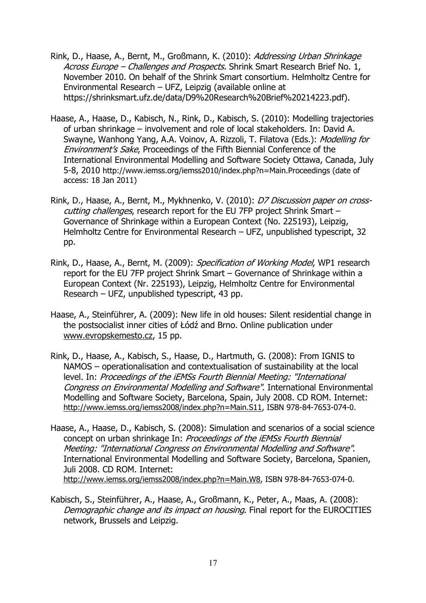- Rink, D., Haase, A., Bernt, M., Großmann, K. (2010): Addressing Urban Shrinkage Across Europe - Challenges and Prospects. Shrink Smart Research Brief No. 1, November 2010. On behalf of the Shrink Smart consortium. Helmholtz Centre for Environmental Research – UFZ, Leipzig (available online at https://shrinksmart.ufz.de/data/D9%20Research%20Brief%20214223.pdf).
- Haase, A., Haase, D., Kabisch, N., Rink, D., Kabisch, S. (2010): Modelling trajectories of urban shrinkage – involvement and role of local stakeholders. In: David A. Swayne, Wanhong Yang, A.A. Voinov, A. Rizzoli, T. Filatova (Eds.): Modelling for Environment's Sake, Proceedings of the Fifth Biennial Conference of the International Environmental Modelling and Software Society Ottawa, Canada, July 5-8, 2010 http://www.iemss.org/iemss2010/index.php?n=Main.Proceedings (date of access: 18 Jan 2011)
- Rink, D., Haase, A., Bernt, M., Mykhnenko, V. (2010): D7 Discussion paper on crosscutting challenges, research report for the EU 7FP project Shrink Smart – Governance of Shrinkage within a European Context (No. 225193), Leipzig, Helmholtz Centre for Environmental Research - UFZ, unpublished typescript, 32 pp.
- Rink, D., Haase, A., Bernt, M. (2009): Specification of Working Model, WP1 research report for the EU 7FP project Shrink Smart – Governance of Shrinkage within a European Context (Nr. 225193), Leipzig, Helmholtz Centre for Environmental Research – UFZ, unpublished typescript, 43 pp.
- Haase, A., Steinführer, A. (2009): New life in old houses: Silent residential change in the postsocialist inner cities of Łódź and Brno. Online publication under www.evropskemesto.cz, 15 pp.
- Rink, D., Haase, A., Kabisch, S., Haase, D., Hartmuth, G. (2008): From IGNIS to NAMOS – operationalisation and contextualisation of sustainability at the local level. In: Proceedings of the iEMSs Fourth Biennial Meeting: "International Congress on Environmental Modelling and Software". International Environmental Modelling and Software Society, Barcelona, Spain, July 2008. CD ROM. Internet: http://www.iemss.org/iemss2008/index.php?n=Main.S11, ISBN 978-84-7653-074-0.
- Haase, A., Haase, D., Kabisch, S. (2008): Simulation and scenarios of a social science concept on urban shrinkage In: Proceedings of the iEMSs Fourth Biennial Meeting: "International Congress on Environmental Modelling and Software". International Environmental Modelling and Software Society, Barcelona, Spanien, Juli 2008. CD ROM. Internet: http://www.iemss.org/iemss2008/index.php?n=Main.W8, ISBN 978-84-7653-074-0.
- Kabisch, S., Steinführer, A., Haase, A., Großmann, K., Peter, A., Maas, A. (2008): Demographic change and its impact on housing. Final report for the EUROCITIES network, Brussels and Leipzig.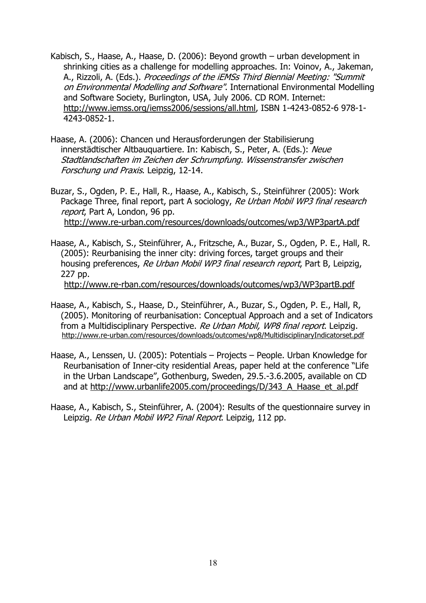- Kabisch, S., Haase, A., Haase, D. (2006): Beyond growth urban development in shrinking cities as a challenge for modelling approaches. In: Voinov, A., Jakeman, A., Rizzoli, A. (Eds.). Proceedings of the iEMSs Third Biennial Meeting: "Summit on Environmental Modelling and Software". International Environmental Modelling and Software Society, Burlington, USA, July 2006. CD ROM. Internet: http://www.iemss.org/iemss2006/sessions/all.html, ISBN 1-4243-0852-6 978-1- 4243-0852-1.
- Haase, A. (2006): Chancen und Herausforderungen der Stabilisierung innerstädtischer Altbauquartiere. In: Kabisch, S., Peter, A. (Eds.): Neue Stadtlandschaften im Zeichen der Schrumpfung. Wissenstransfer zwischen Forschung und Praxis. Leipzig, 12-14.

Buzar, S., Ogden, P. E., Hall, R., Haase, A., Kabisch, S., Steinführer (2005): Work Package Three, final report, part A sociology, Re Urban Mobil WP3 final research report, Part A, London, 96 pp. http://www.re-urban.com/resources/downloads/outcomes/wp3/WP3partA.pdf

Haase, A., Kabisch, S., Steinführer, A., Fritzsche, A., Buzar, S., Ogden, P. E., Hall, R. (2005): Reurbanising the inner city: driving forces, target groups and their housing preferences, Re Urban Mobil WP3 final research report, Part B, Leipzig, 227 pp. http://www.re-rban.com/resources/downloads/outcomes/wp3/WP3partB.pdf

- Haase, A., Kabisch, S., Haase, D., Steinführer, A., Buzar, S., Ogden, P. E., Hall, R, (2005). Monitoring of reurbanisation: Conceptual Approach and a set of Indicators from a Multidisciplinary Perspective. Re Urban Mobil, WP8 final report. Leipzig. http://www.re-urban.com/resources/downloads/outcomes/wp8/MultidisciplinaryIndicatorset.pdf
- Haase, A., Lenssen, U. (2005): Potentials Projects People. Urban Knowledge for Reurbanisation of Inner-city residential Areas, paper held at the conference "Life in the Urban Landscape", Gothenburg, Sweden, 29.5.-3.6.2005, available on CD and at http://www.urbanlife2005.com/proceedings/D/343\_A\_Haase\_et\_al.pdf
- Haase, A., Kabisch, S., Steinführer, A. (2004): Results of the questionnaire survey in Leipzig. Re Urban Mobil WP2 Final Report. Leipzig, 112 pp.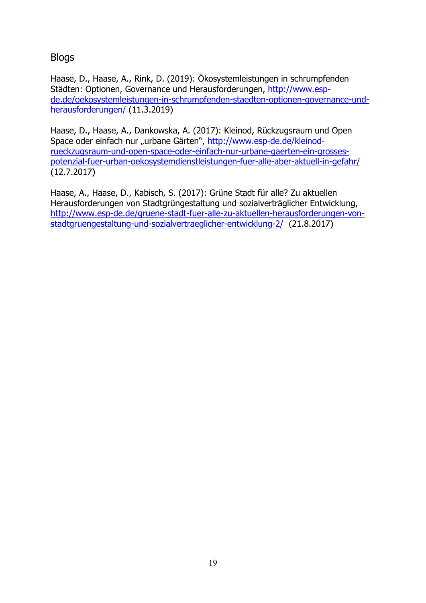Blogs

Haase, D., Haase, A., Rink, D. (2019): Ökosystemleistungen in schrumpfenden Städten: Optionen, Governance und Herausforderungen, http://www.espde.de/oekosystemleistungen-in-schrumpfenden-staedten-optionen-governance-undherausforderungen/ (11.3.2019)

Haase, D., Haase, A., Dankowska, A. (2017): Kleinod, Rückzugsraum und Open Space oder einfach nur "urbane Gärten", http://www.esp-de.de/kleinodrueckzugsraum-und-open-space-oder-einfach-nur-urbane-gaerten-ein-grossespotenzial-fuer-urban-oekosystemdienstleistungen-fuer-alle-aber-aktuell-in-gefahr/ (12.7.2017)

Haase, A., Haase, D., Kabisch, S. (2017): Grüne Stadt für alle? Zu aktuellen Herausforderungen von Stadtgrüngestaltung und sozialverträglicher Entwicklung, http://www.esp-de.de/gruene-stadt-fuer-alle-zu-aktuellen-herausforderungen-vonstadtgruengestaltung-und-sozialvertraeglicher-entwicklung-2/ (21.8.2017)